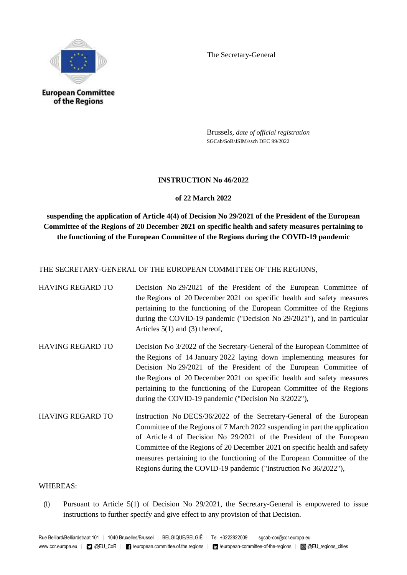

The Secretary-General

Brussels, *date of official registration* SGCab/SoB/JSIM/ssch DEC 99/2022

### **INSTRUCTION No 46/2022**

## **of 22 March 2022**

**suspending the application of Article 4(4) of Decision No 29/2021 of the President of the European Committee of the Regions of 20 December 2021 on specific health and safety measures pertaining to the functioning of the European Committee of the Regions during the COVID-19 pandemic**

THE SECRETARY-GENERAL OF THE EUROPEAN COMMITTEE OF THE REGIONS,

- HAVING REGARD TO Decision No 29/2021 of the President of the European Committee of the Regions of 20 December 2021 on specific health and safety measures pertaining to the functioning of the European Committee of the Regions during the COVID-19 pandemic ("Decision No 29/2021"), and in particular Articles 5(1) and (3) thereof,
- HAVING REGARD TO Decision No 3/2022 of the Secretary-General of the European Committee of the Regions of 14 January 2022 laying down implementing measures for Decision No 29/2021 of the President of the European Committee of the Regions of 20 December 2021 on specific health and safety measures pertaining to the functioning of the European Committee of the Regions during the COVID-19 pandemic ("Decision No 3/2022"),
- HAVING REGARD TO Instruction No DECS/36/2022 of the Secretary-General of the European Committee of the Regions of 7 March 2022 suspending in part the application of Article 4 of Decision No 29/2021 of the President of the European Committee of the Regions of 20 December 2021 on specific health and safety measures pertaining to the functioning of the European Committee of the Regions during the COVID-19 pandemic ("Instruction No 36/2022"),

### WHEREAS:

(1) Pursuant to Article 5(1) of Decision No 29/2021, the Secretary-General is empowered to issue instructions to further specify and give effect to any provision of that Decision.